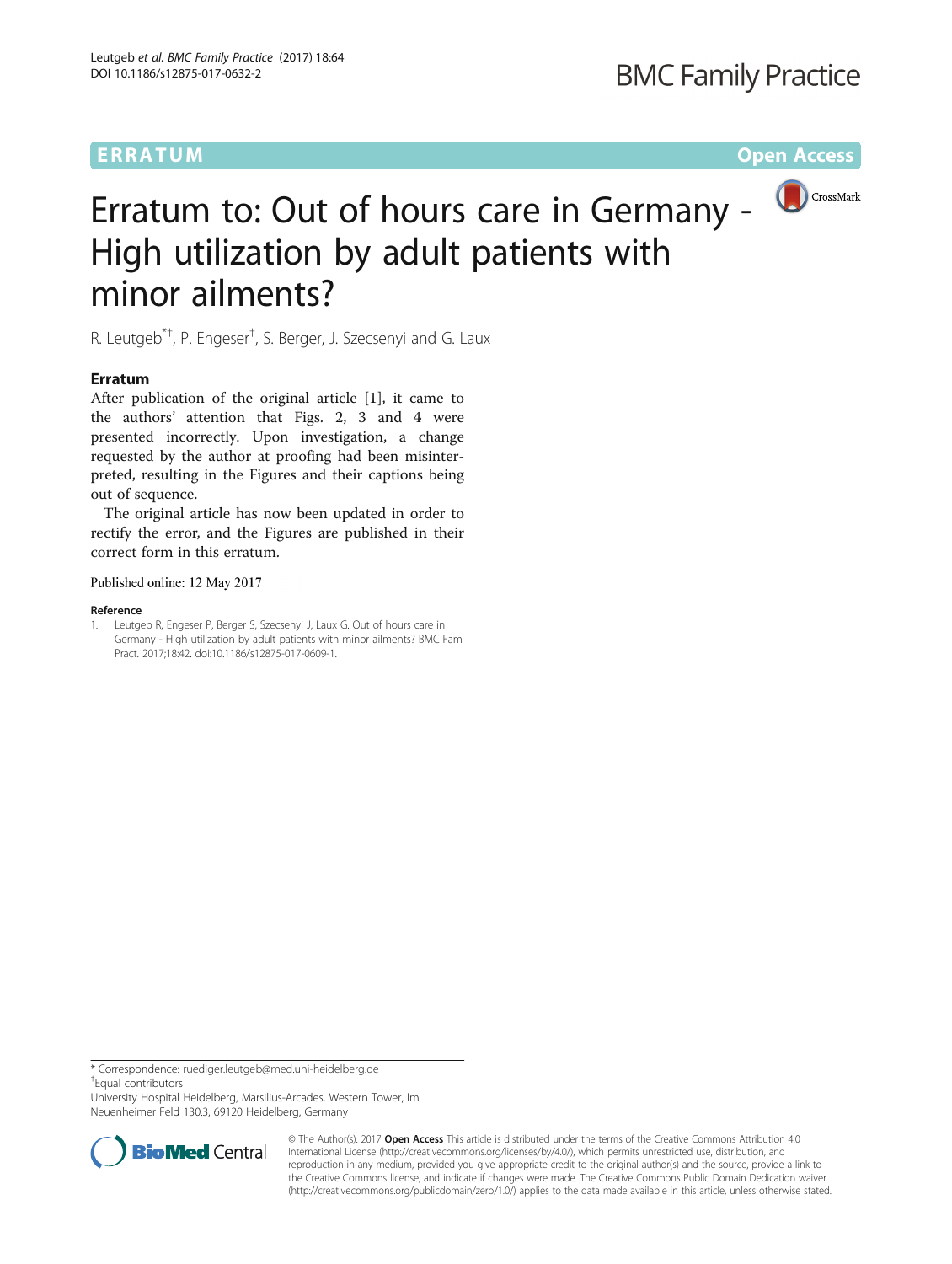## **BMC Family Practice**



# Erratum to: Out of hours care in Germany - High utilization by adult patients with minor ailments?

R. Leutgeb<sup>\*†</sup>, P. Engeser<sup>†</sup>, S. Berger, J. Szecsenyi and G. Laux

### **Erratum**

After publication of the original article [1], it came to the authors' attention that Figs. [2, 3](#page-1-0) and [4](#page-1-0) were presented incorrectly. Upon investigation, a change requested by the author at proofing had been misinterpreted, resulting in the Figures and their captions being out of sequence.

The original article has now been updated in order to rectify the error, and the Figures are published in their correct form in this erratum.

#### Published online: 12 May 2017

#### Reference

1. Leutgeb R, Engeser P, Berger S, Szecsenyi J, Laux G. Out of hours care in Germany - High utilization by adult patients with minor ailments? BMC Fam Pract. 2017;18:42. doi[:10.1186/s12875-017-0609-1.](http://dx.doi.org/10.1186/s12875-017-0609-1)

\* Correspondence: [ruediger.leutgeb@med.uni-heidelberg.de](mailto:ruediger.leutgeb@med.uni-heidelberg.de) † Equal contributors

University Hospital Heidelberg, Marsilius-Arcades, Western Tower, Im Neuenheimer Feld 130.3, 69120 Heidelberg, Germany



© The Author(s). 2017 **Open Access** This article is distributed under the terms of the Creative Commons Attribution 4.0 International License [\(http://creativecommons.org/licenses/by/4.0/](http://creativecommons.org/licenses/by/4.0/)), which permits unrestricted use, distribution, and reproduction in any medium, provided you give appropriate credit to the original author(s) and the source, provide a link to the Creative Commons license, and indicate if changes were made. The Creative Commons Public Domain Dedication waiver [\(http://creativecommons.org/publicdomain/zero/1.0/](http://creativecommons.org/publicdomain/zero/1.0/)) applies to the data made available in this article, unless otherwise stated.